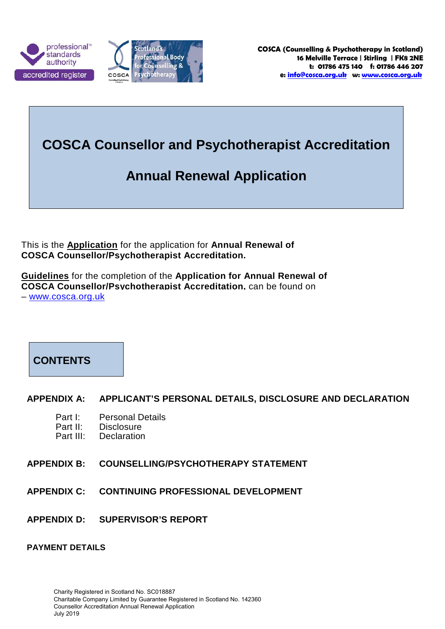



# **COSCA Counsellor and Psychotherapist Accreditation**

# **Annual Renewal Application**

This is the **Application** for the application for **Annual Renewal of COSCA Counsellor/Psychotherapist Accreditation.**

**Guidelines** for the completion of the **Application for Annual Renewal of COSCA Counsellor/Psychotherapist Accreditation,** can be found on – www.cosca.org.uk



### **APPENDIX A: APPLICANT'S PERSONAL DETAILS, DISCLOSURE AND DECLARATION**

- Part I: Personal Details<br>Part II: Disclosure
- Part II: Disclosure<br>Part III: Declaration
- **Declaration**
- **APPENDIX B: COUNSELLING/PSYCHOTHERAPY STATEMENT**
- **APPENDIX C: CONTINUING PROFESSIONAL DEVELOPMENT**
- **APPENDIX D: SUPERVISOR'S REPORT**

#### **PAYMENT DETAILS**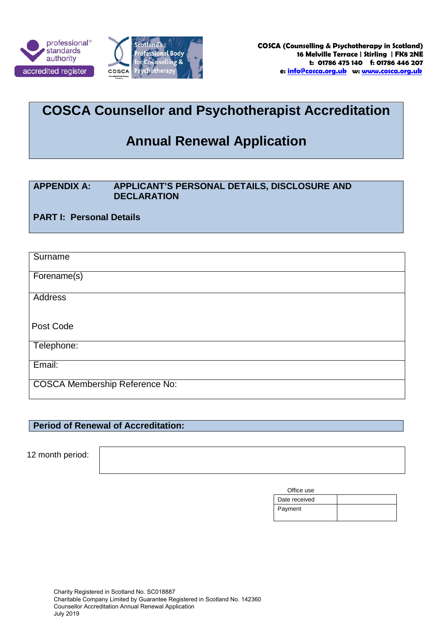



# **COSCA Counsellor and Psychotherapist Accreditation**

# **Annual Renewal Application**

### **APPENDIX A: APPLICANT'S PERSONAL DETAILS, DISCLOSURE AND DECLARATION**

**PART I: Personal Details**

| Surname                               |
|---------------------------------------|
| Forename(s)                           |
| <b>Address</b>                        |
| Post Code                             |
| Telephone:                            |
| Email:                                |
| <b>COSCA Membership Reference No:</b> |

## **Period of Renewal of Accreditation:**

12 month period:

|  | Office use |
|--|------------|
|--|------------|

| Date received |  |
|---------------|--|
| Payment       |  |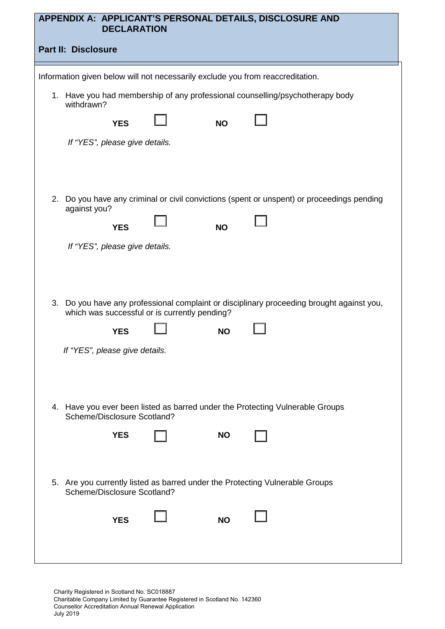| APPENDIX A: APPLICANT'S PERSONAL DETAILS, DISCLOSURE AND<br><b>DECLARATION</b>                                                             |  |  |  |  |
|--------------------------------------------------------------------------------------------------------------------------------------------|--|--|--|--|
| <b>Part II: Disclosure</b>                                                                                                                 |  |  |  |  |
| Information given below will not necessarily exclude you from reaccreditation.                                                             |  |  |  |  |
| 1. Have you had membership of any professional counselling/psychotherapy body<br>withdrawn?                                                |  |  |  |  |
| <b>YES</b><br><b>NO</b>                                                                                                                    |  |  |  |  |
| If "YES", please give details.                                                                                                             |  |  |  |  |
|                                                                                                                                            |  |  |  |  |
| Do you have any criminal or civil convictions (spent or unspent) or proceedings pending<br>2.<br>against you?                              |  |  |  |  |
| <b>NO</b><br><b>YES</b>                                                                                                                    |  |  |  |  |
| If "YES", please give details.                                                                                                             |  |  |  |  |
|                                                                                                                                            |  |  |  |  |
| 3. Do you have any professional complaint or disciplinary proceeding brought against you,<br>which was successful or is currently pending? |  |  |  |  |
| <b>YES</b><br><b>NO</b>                                                                                                                    |  |  |  |  |
| If "YES", please give details.                                                                                                             |  |  |  |  |
|                                                                                                                                            |  |  |  |  |
| 4. Have you ever been listed as barred under the Protecting Vulnerable Groups<br>Scheme/Disclosure Scotland?                               |  |  |  |  |
| <b>YES</b><br><b>NO</b>                                                                                                                    |  |  |  |  |
|                                                                                                                                            |  |  |  |  |
| 5. Are you currently listed as barred under the Protecting Vulnerable Groups<br>Scheme/Disclosure Scotland?                                |  |  |  |  |
| <b>YES</b><br><b>NO</b>                                                                                                                    |  |  |  |  |
|                                                                                                                                            |  |  |  |  |
|                                                                                                                                            |  |  |  |  |

Charity Registered in Scotland No. SC018887 Charitable Company Limited by Guarantee Registered in Scotland No. 142360 Counsellor Accreditation Annual Renewal Application July 2019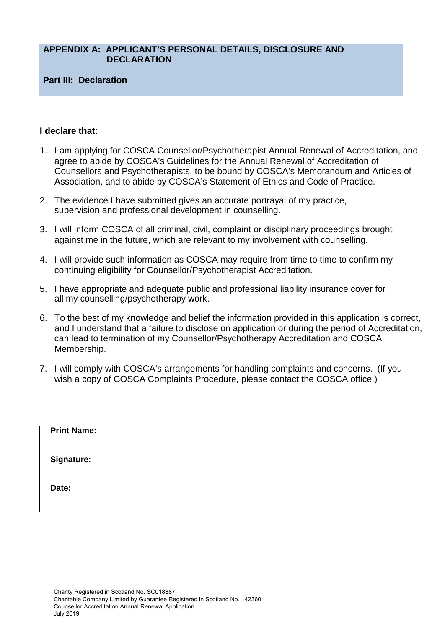### **APPENDIX A: APPLICANT'S PERSONAL DETAILS, DISCLOSURE AND DECLARATION**

#### **Part III: Declaration**

#### **I declare that:**

- 1. I am applying for COSCA Counsellor/Psychotherapist Annual Renewal of Accreditation, and agree to abide by COSCA's Guidelines for the Annual Renewal of Accreditation of Counsellors and Psychotherapists, to be bound by COSCA's Memorandum and Articles of Association, and to abide by COSCA's Statement of Ethics and Code of Practice.
- 2. The evidence I have submitted gives an accurate portrayal of my practice, supervision and professional development in counselling.
- 3. I will inform COSCA of all criminal, civil, complaint or disciplinary proceedings brought against me in the future, which are relevant to my involvement with counselling.
- 4. I will provide such information as COSCA may require from time to time to confirm my continuing eligibility for Counsellor/Psychotherapist Accreditation.
- 5. I have appropriate and adequate public and professional liability insurance cover for all my counselling/psychotherapy work.
- 6. To the best of my knowledge and belief the information provided in this application is correct, and I understand that a failure to disclose on application or during the period of Accreditation, can lead to termination of my Counsellor/Psychotherapy Accreditation and COSCA Membership.
- 7. I will comply with COSCA's arrangements for handling complaints and concerns. (If you wish a copy of COSCA Complaints Procedure, please contact the COSCA office.)

| <b>Print Name:</b> |  |  |  |
|--------------------|--|--|--|
|                    |  |  |  |
| <b>Signature:</b>  |  |  |  |
|                    |  |  |  |
| Date:              |  |  |  |
|                    |  |  |  |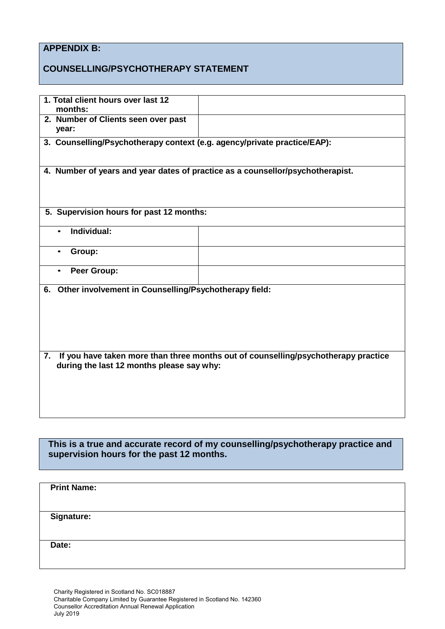# **APPENDIX B:**

# **COUNSELLING/PSYCHOTHERAPY STATEMENT**

| 1. Total client hours over last 12<br>months:                            |                                                                                    |
|--------------------------------------------------------------------------|------------------------------------------------------------------------------------|
| 2. Number of Clients seen over past<br>year:                             |                                                                                    |
| 3. Counselling/Psychotherapy context (e.g. agency/private practice/EAP): |                                                                                    |
|                                                                          | 4. Number of years and year dates of practice as a counsellor/psychotherapist.     |
| 5. Supervision hours for past 12 months:                                 |                                                                                    |
| Individual:                                                              |                                                                                    |
| Group:<br>$\bullet$                                                      |                                                                                    |
| Peer Group:                                                              |                                                                                    |
| 6. Other involvement in Counselling/Psychotherapy field:                 |                                                                                    |
| 7.<br>during the last 12 months please say why:                          | If you have taken more than three months out of counselling/psychotherapy practice |

**This is a true and accurate record of my counselling/psychotherapy practice and supervision hours for the past 12 months.**

| <b>Print Name:</b> |  |
|--------------------|--|
|                    |  |
|                    |  |
|                    |  |
| <b>Signature:</b>  |  |
|                    |  |
|                    |  |
|                    |  |
|                    |  |
| Date:              |  |
|                    |  |
|                    |  |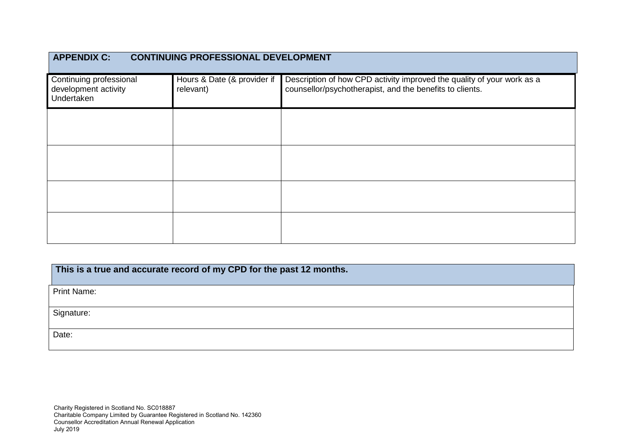| <b>APPENDIX C:</b><br><b>CONTINUING PROFESSIONAL DEVELOPMENT</b> |                                          |                                                                                                                                    |  |
|------------------------------------------------------------------|------------------------------------------|------------------------------------------------------------------------------------------------------------------------------------|--|
| Continuing professional<br>development activity<br>Undertaken    | Hours & Date (& provider if<br>relevant) | Description of how CPD activity improved the quality of your work as a<br>counsellor/psychotherapist, and the benefits to clients. |  |
|                                                                  |                                          |                                                                                                                                    |  |
|                                                                  |                                          |                                                                                                                                    |  |
|                                                                  |                                          |                                                                                                                                    |  |
|                                                                  |                                          |                                                                                                                                    |  |

| This is a true and accurate record of my CPD for the past 12 months. |
|----------------------------------------------------------------------|
| Print Name:                                                          |
| Signature:                                                           |
| Date:                                                                |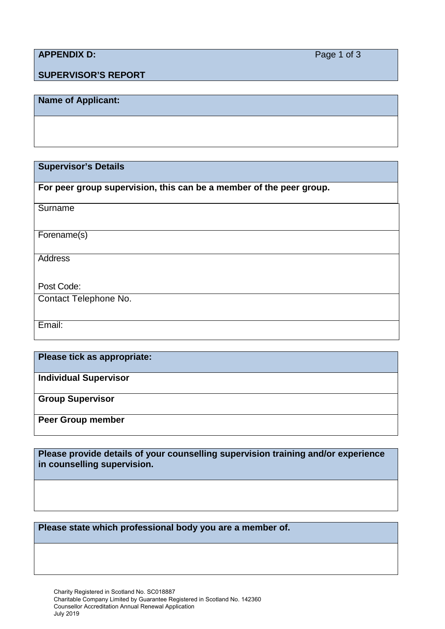# **APPENDIX D:** Page 1 of 3

## **SUPERVISOR'S REPORT**

## **Name of Applicant:**

**Supervisor's Details**

**For peer group supervision, this can be a member of the peer group.**

| Surname               |
|-----------------------|
|                       |
|                       |
| Forename(s)           |
|                       |
|                       |
| <b>Address</b>        |
|                       |
|                       |
| Post Code:            |
|                       |
| Contact Telephone No. |
|                       |
|                       |
| Email:                |
|                       |
|                       |

**Please tick as appropriate:**

**Individual Supervisor**

**Group Supervisor**

**Peer Group member**

**Please provide details of your counselling supervision training and/or experience in counselling supervision.**

**Please state which professional body you are a member of.**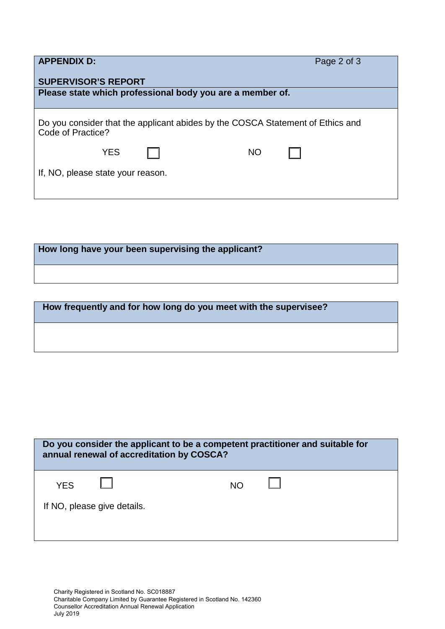| <b>APPENDIX D:</b>                                                                                  |  |           | Page 2 of 3 |  |
|-----------------------------------------------------------------------------------------------------|--|-----------|-------------|--|
| <b>SUPERVISOR'S REPORT</b><br>Please state which professional body you are a member of.             |  |           |             |  |
|                                                                                                     |  |           |             |  |
| Do you consider that the applicant abides by the COSCA Statement of Ethics and<br>Code of Practice? |  |           |             |  |
| <b>YES</b>                                                                                          |  | <b>NO</b> |             |  |
| If, NO, please state your reason.                                                                   |  |           |             |  |
|                                                                                                     |  |           |             |  |

**How long have your been supervising the applicant?**

| How frequently and for how long do you meet with the supervisee? |  |
|------------------------------------------------------------------|--|
|                                                                  |  |
|                                                                  |  |

| Do you consider the applicant to be a competent practitioner and suitable for<br>annual renewal of accreditation by COSCA? |  |     |  |
|----------------------------------------------------------------------------------------------------------------------------|--|-----|--|
| <b>YES</b>                                                                                                                 |  | NO. |  |
| If NO, please give details.                                                                                                |  |     |  |
|                                                                                                                            |  |     |  |